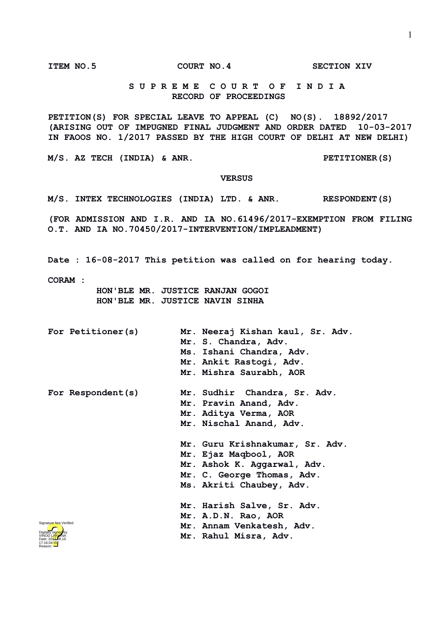**ITEM NO.5 COURT NO.4 SECTION XIV**

## **S U P R E M E C O U R T O F I N D I A RECORD OF PROCEEDINGS**

**PETITION(S) FOR SPECIAL LEAVE TO APPEAL (C) NO(S). 18892/2017 (ARISING OUT OF IMPUGNED FINAL JUDGMENT AND ORDER DATED 10-03-2017 IN FAOOS NO. 1/2017 PASSED BY THE HIGH COURT OF DELHI AT NEW DELHI)**

**M/S. AZ TECH (INDIA) & ANR. PETITIONER(S)**

## **VERSUS**

**M/S. INTEX TECHNOLOGIES (INDIA) LTD. & ANR. RESPONDENT(S)**

**(FOR ADMISSION AND I.R. AND IA NO.61496/2017-EXEMPTION FROM FILING O.T. AND IA NO.70450/2017-INTERVENTION/IMPLEADMENT)**

**Date : 16-08-2017 This petition was called on for hearing today.**

**CORAM :** 

 **HON'BLE MR. JUSTICE RANJAN GOGOI HON'BLE MR. JUSTICE NAVIN SINHA**

**For Petitioner(s) Mr. Neeraj Kishan kaul, Sr. Adv. Mr. S. Chandra, Adv. Ms. Ishani Chandra, Adv. Mr. Ankit Rastogi, Adv. Mr. Mishra Saurabh, AOR For Respondent(s) Mr. Sudhir Chandra, Sr. Adv. Mr. Pravin Anand, Adv. Mr. Aditya Verma, AOR Mr. Nischal Anand, Adv. Mr. Guru Krishnakumar, Sr. Adv. Mr. Ejaz Maqbool, AOR Mr. Ashok K. Aggarwal, Adv. Mr. C. George Thomas, Adv. Ms. Akriti Chaubey, Adv. Mr. Harish Salve, Sr. Adv. Mr. A.D.N. Rao, AOR Mr. Annam Venkatesh, Adv. Mr. Rahul Misra, Adv.** Signature Not Verified

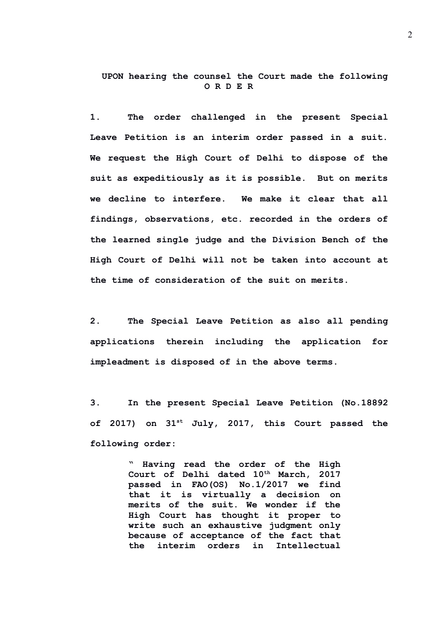**UPON hearing the counsel the Court made the following O R D E R**

**1. The order challenged in the present Special Leave Petition is an interim order passed in a suit. We request the High Court of Delhi to dispose of the suit as expeditiously as it is possible. But on merits we decline to interfere. We make it clear that all findings, observations, etc. recorded in the orders of the learned single judge and the Division Bench of the High Court of Delhi will not be taken into account at the time of consideration of the suit on merits.**

**2. The Special Leave Petition as also all pending applications therein including the application for impleadment is disposed of in the above terms.**

**3. In the present Special Leave Petition (No.18892 of 2017) on 31st July, 2017, this Court passed the following order:**

> **" Having read the order of the High Court of Delhi dated 10th March, 2017 passed in FAO(OS) No.1/2017 we find that it is virtually a decision on merits of the suit. We wonder if the High Court has thought it proper to write such an exhaustive judgment only because of acceptance of the fact that the interim orders in Intellectual**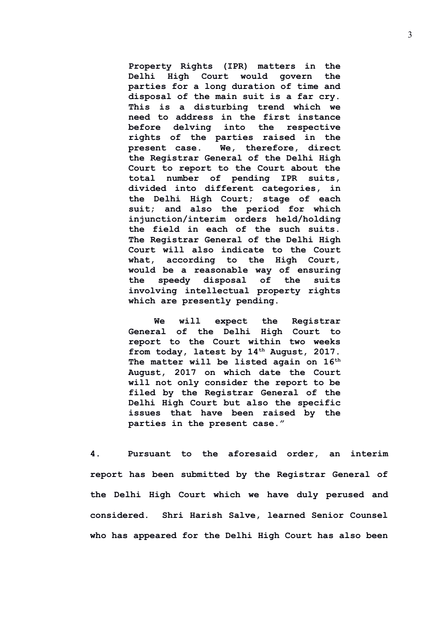**Property Rights (IPR) matters in the Delhi High Court would govern the parties for a long duration of time and disposal of the main suit is a far cry. This is a disturbing trend which we need to address in the first instance before delving into the respective rights of the parties raised in the present case. We, therefore, direct the Registrar General of the Delhi High Court to report to the Court about the total number of pending IPR suits, divided into different categories, in the Delhi High Court; stage of each suit; and also the period for which injunction/interim orders held/holding the field in each of the such suits. The Registrar General of the Delhi High Court will also indicate to the Court what, according to the High Court, would be a reasonable way of ensuring the speedy disposal of the suits involving intellectual property rights which are presently pending.** 

**We will expect the Registrar General of the Delhi High Court to report to the Court within two weeks from today, latest by 14th August, 2017. The matter will be listed again on 16th August, 2017 on which date the Court will not only consider the report to be filed by the Registrar General of the Delhi High Court but also the specific issues that have been raised by the parties in the present case."**

**4. Pursuant to the aforesaid order, an interim report has been submitted by the Registrar General of the Delhi High Court which we have duly perused and considered. Shri Harish Salve, learned Senior Counsel who has appeared for the Delhi High Court has also been**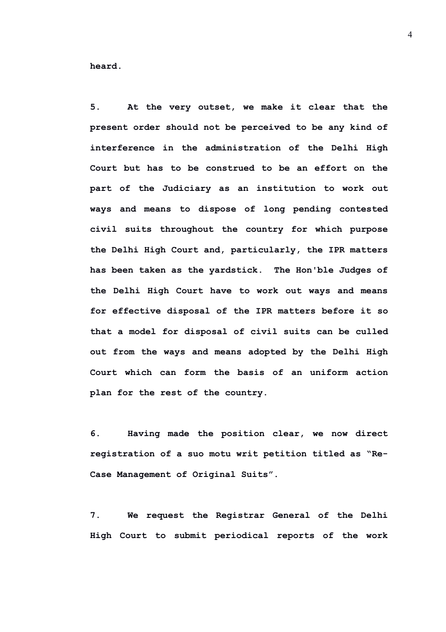**heard.** 

**5. At the very outset, we make it clear that the present order should not be perceived to be any kind of interference in the administration of the Delhi High Court but has to be construed to be an effort on the part of the Judiciary as an institution to work out ways and means to dispose of long pending contested civil suits throughout the country for which purpose the Delhi High Court and, particularly, the IPR matters has been taken as the yardstick. The Hon'ble Judges of the Delhi High Court have to work out ways and means for effective disposal of the IPR matters before it so that a model for disposal of civil suits can be culled out from the ways and means adopted by the Delhi High Court which can form the basis of an uniform action plan for the rest of the country.** 

**6. Having made the position clear, we now direct registration of a suo motu writ petition titled as "Re-Case Management of Original Suits".**

**7. We request the Registrar General of the Delhi High Court to submit periodical reports of the work**